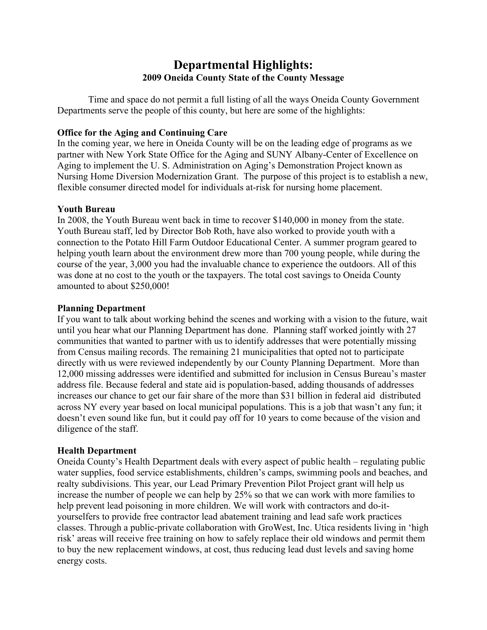# **Departmental Highlights: 2009 Oneida County State of the County Message**

 Time and space do not permit a full listing of all the ways Oneida County Government Departments serve the people of this county, but here are some of the highlights:

### **Office for the Aging and Continuing Care**

In the coming year, we here in Oneida County will be on the leading edge of programs as we partner with New York State Office for the Aging and SUNY Albany-Center of Excellence on Aging to implement the U. S. Administration on Aging's Demonstration Project known as Nursing Home Diversion Modernization Grant. The purpose of this project is to establish a new, flexible consumer directed model for individuals at-risk for nursing home placement.

### **Youth Bureau**

In 2008, the Youth Bureau went back in time to recover \$140,000 in money from the state. Youth Bureau staff, led by Director Bob Roth, have also worked to provide youth with a connection to the Potato Hill Farm Outdoor Educational Center. A summer program geared to helping youth learn about the environment drew more than 700 young people, while during the course of the year, 3,000 you had the invaluable chance to experience the outdoors. All of this was done at no cost to the youth or the taxpayers. The total cost savings to Oneida County amounted to about \$250,000!

### **Planning Department**

If you want to talk about working behind the scenes and working with a vision to the future, wait until you hear what our Planning Department has done. Planning staff worked jointly with 27 communities that wanted to partner with us to identify addresses that were potentially missing from Census mailing records. The remaining 21 municipalities that opted not to participate directly with us were reviewed independently by our County Planning Department. More than 12,000 missing addresses were identified and submitted for inclusion in Census Bureau's master address file. Because federal and state aid is population-based, adding thousands of addresses increases our chance to get our fair share of the more than \$31 billion in federal aid distributed across NY every year based on local municipal populations. This is a job that wasn't any fun; it doesn't even sound like fun, but it could pay off for 10 years to come because of the vision and diligence of the staff.

## **Health Department**

Oneida County's Health Department deals with every aspect of public health – regulating public water supplies, food service establishments, children's camps, swimming pools and beaches, and realty subdivisions. This year, our Lead Primary Prevention Pilot Project grant will help us increase the number of people we can help by 25% so that we can work with more families to help prevent lead poisoning in more children. We will work with contractors and do-ityourselfers to provide free contractor lead abatement training and lead safe work practices classes. Through a public-private collaboration with GroWest, Inc. Utica residents living in 'high risk' areas will receive free training on how to safely replace their old windows and permit them to buy the new replacement windows, at cost, thus reducing lead dust levels and saving home energy costs.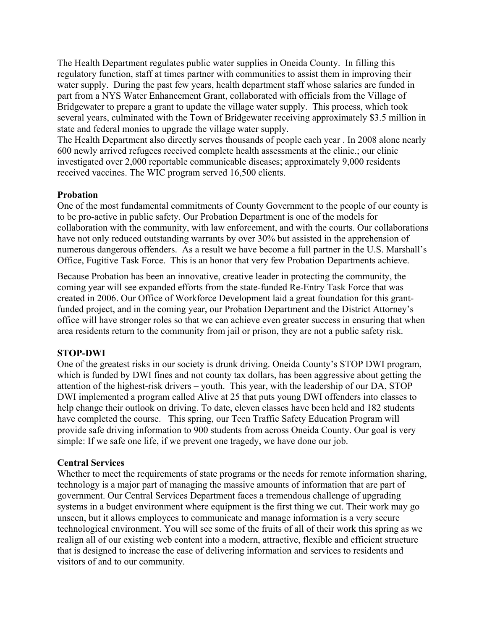The Health Department regulates public water supplies in Oneida County. In filling this regulatory function, staff at times partner with communities to assist them in improving their water supply. During the past few years, health department staff whose salaries are funded in part from a NYS Water Enhancement Grant, collaborated with officials from the Village of Bridgewater to prepare a grant to update the village water supply. This process, which took several years, culminated with the Town of Bridgewater receiving approximately \$3.5 million in state and federal monies to upgrade the village water supply.

The Health Department also directly serves thousands of people each year . In 2008 alone nearly 600 newly arrived refugees received complete health assessments at the clinic.; our clinic investigated over 2,000 reportable communicable diseases; approximately 9,000 residents received vaccines. The WIC program served 16,500 clients.

### **Probation**

One of the most fundamental commitments of County Government to the people of our county is to be pro-active in public safety. Our Probation Department is one of the models for collaboration with the community, with law enforcement, and with the courts. Our collaborations have not only reduced outstanding warrants by over 30% but assisted in the apprehension of numerous dangerous offenders. As a result we have become a full partner in the U.S. Marshall's Office, Fugitive Task Force. This is an honor that very few Probation Departments achieve.

Because Probation has been an innovative, creative leader in protecting the community, the coming year will see expanded efforts from the state-funded Re-Entry Task Force that was created in 2006. Our Office of Workforce Development laid a great foundation for this grantfunded project, and in the coming year, our Probation Department and the District Attorney's office will have stronger roles so that we can achieve even greater success in ensuring that when area residents return to the community from jail or prison, they are not a public safety risk.

#### **STOP-DWI**

One of the greatest risks in our society is drunk driving. Oneida County's STOP DWI program, which is funded by DWI fines and not county tax dollars, has been aggressive about getting the attention of the highest-risk drivers – youth. This year, with the leadership of our DA, STOP DWI implemented a program called Alive at 25 that puts young DWI offenders into classes to help change their outlook on driving. To date, eleven classes have been held and 182 students have completed the course. This spring, our Teen Traffic Safety Education Program will provide safe driving information to 900 students from across Oneida County. Our goal is very simple: If we safe one life, if we prevent one tragedy, we have done our job.

#### **Central Services**

Whether to meet the requirements of state programs or the needs for remote information sharing, technology is a major part of managing the massive amounts of information that are part of government. Our Central Services Department faces a tremendous challenge of upgrading systems in a budget environment where equipment is the first thing we cut. Their work may go unseen, but it allows employees to communicate and manage information is a very secure technological environment. You will see some of the fruits of all of their work this spring as we realign all of our existing web content into a modern, attractive, flexible and efficient structure that is designed to increase the ease of delivering information and services to residents and visitors of and to our community.